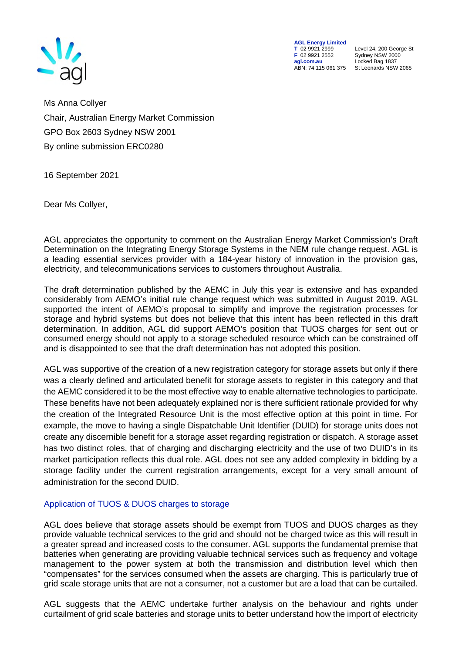

**AGL Energy Limited**<br> **T** 02 9921 2999<br> **F** 02 9921 2552 **F** 02 9921 2552 Sydney NSW 2000 **agl.com.au** Locked Bag 1837<br>ABN: 74 115 061 375 St Leonards NSW

**T** 02 9921 2999 Level 24, 200 George St St Leonards NSW 2065

Ms Anna Collyer Chair, Australian Energy Market Commission GPO Box 2603 Sydney NSW 2001 By online submission ERC0280

16 September 2021

Dear Ms Collyer,

AGL appreciates the opportunity to comment on the Australian Energy Market Commission's Draft Determination on the Integrating Energy Storage Systems in the NEM rule change request. AGL is a leading essential services provider with a 184-year history of innovation in the provision gas, electricity, and telecommunications services to customers throughout Australia.

The draft determination published by the AEMC in July this year is extensive and has expanded considerably from AEMO's initial rule change request which was submitted in August 2019. AGL supported the intent of AEMO's proposal to simplify and improve the registration processes for storage and hybrid systems but does not believe that this intent has been reflected in this draft determination. In addition, AGL did support AEMO's position that TUOS charges for sent out or consumed energy should not apply to a storage scheduled resource which can be constrained off and is disappointed to see that the draft determination has not adopted this position.

AGL was supportive of the creation of a new registration category for storage assets but only if there was a clearly defined and articulated benefit for storage assets to register in this category and that the AEMC considered it to be the most effective way to enable alternative technologies to participate. These benefits have not been adequately explained nor is there sufficient rationale provided for why the creation of the Integrated Resource Unit is the most effective option at this point in time. For example, the move to having a single Dispatchable Unit Identifier (DUID) for storage units does not create any discernible benefit for a storage asset regarding registration or dispatch. A storage asset has two distinct roles, that of charging and discharging electricity and the use of two DUID's in its market participation reflects this dual role. AGL does not see any added complexity in bidding by a storage facility under the current registration arrangements, except for a very small amount of administration for the second DUID.

## Application of TUOS & DUOS charges to storage

AGL does believe that storage assets should be exempt from TUOS and DUOS charges as they provide valuable technical services to the grid and should not be charged twice as this will result in a greater spread and increased costs to the consumer. AGL supports the fundamental premise that batteries when generating are providing valuable technical services such as frequency and voltage management to the power system at both the transmission and distribution level which then "compensates" for the services consumed when the assets are charging. This is particularly true of grid scale storage units that are not a consumer, not a customer but are a load that can be curtailed.

AGL suggests that the AEMC undertake further analysis on the behaviour and rights under curtailment of grid scale batteries and storage units to better understand how the import of electricity